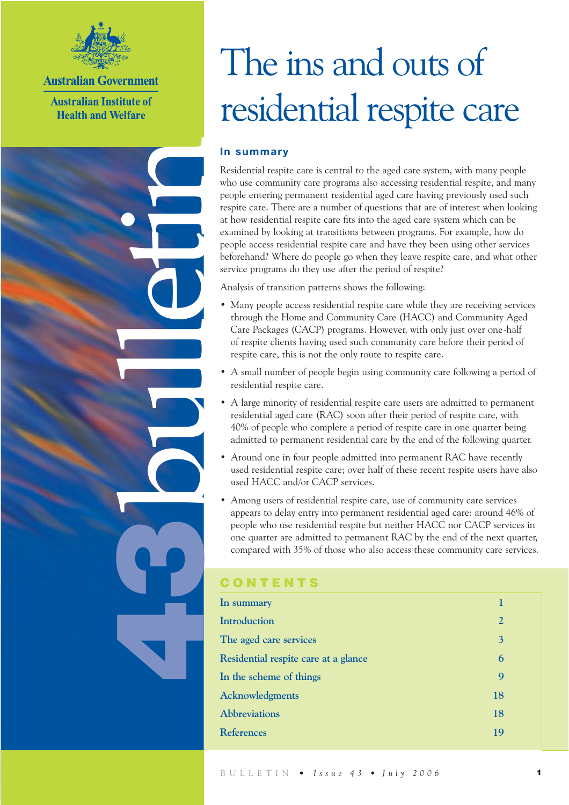

**Australian Government** 

**Australian Institute of Health and Welfare** 

bulletin

9

# The ins and outs of residential respite care

### **In summary**

Residential respite care is central to the aged care system, with many people who use community care programs also accessing residential respite, and many people entering permanent residential aged care having previously used such respite care. There are a number of questions that are of interest when looking at how residential respite care fits into the aged care system which can be examined by looking at transitions between programs. For example, how do people access residential respite care and have they been using other services beforehand? Where do people go when they leave respite care, and what other service programs do they use after the period of respite?

Analysis of transition patterns shows the following:

- Many people access residential respite care while they are receiving services through the Home and Community Care (HACC) and Community Aged Care Packages (CACP) programs. However, with only just over one-half of respite clients having used such community care before their period of respite care, this is not the only route to respite care.
- A small number of people begin using community care following a period of residential respite care.
- A large minority of residential respite care users are admitted to permanent residential aged care (RAC) soon after their period of respite care, with 40% of people who complete a period of respite care in one quarter being admitted to permanent residential care by the end of the following quarter.
- Around one in four people admitted into permanent RAC have recently used residential respite care; over half of these recent respite users have also used HACC and/or CACP services.
- Among users of residential respite care, use of community care services appears to delay entry into permanent residential aged care: around 46% of people who use residential respite but neither HACC nor CACP services in one quarter are admitted to permanent RAC by the end of the next quarter, compared with 35% of those who also access these community care services.

### **CONTENTS**

| In summary                           | 1              |
|--------------------------------------|----------------|
| <b>Introduction</b>                  | $\overline{2}$ |
| The aged care services               | 3              |
| Residential respite care at a glance | 6              |
| In the scheme of things              | 9              |
| <b>Acknowledgments</b>               | 18             |
| <b>Abbreviations</b>                 | 18             |
| <b>References</b>                    | 19             |
|                                      |                |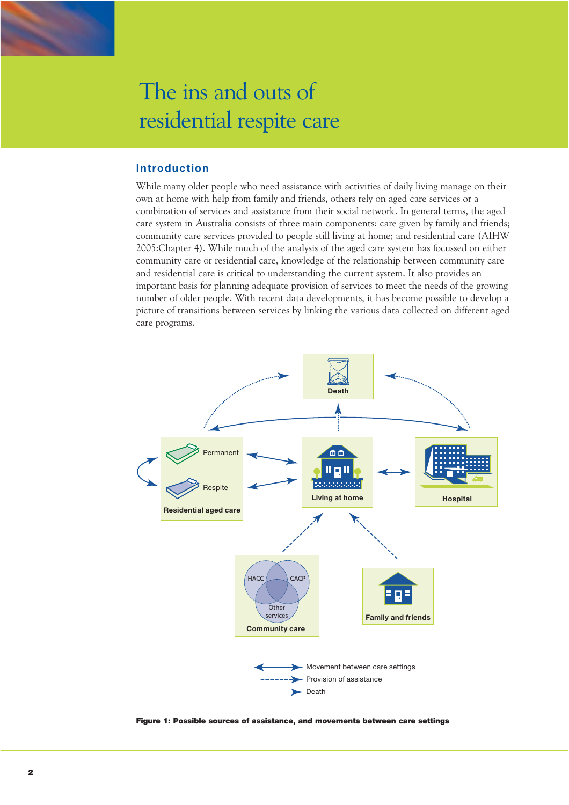

### **Introduction**

While many older people who need assistance with activities of daily living manage on their own at home with help from family and friends, others rely on aged care services or a combination of services and assistance from their social network. In general terms, the aged care system in Australia consists of three main components: care given by family and friends; community care services provided to people still living at home; and residential care (AIHW 2005:Chapter 4). While much of the analysis of the aged care system has focussed on either community care or residential care, knowledge of the relationship between community care and residential care is critical to understanding the current system. It also provides an important basis for planning adequate provision of services to meet the needs of the growing number of older people. With recent data developments, it has become possible to develop a picture of transitions between services by linking the various data collected on different aged care programs.



Figure 1: Possible sources of assistance, and movements between care settings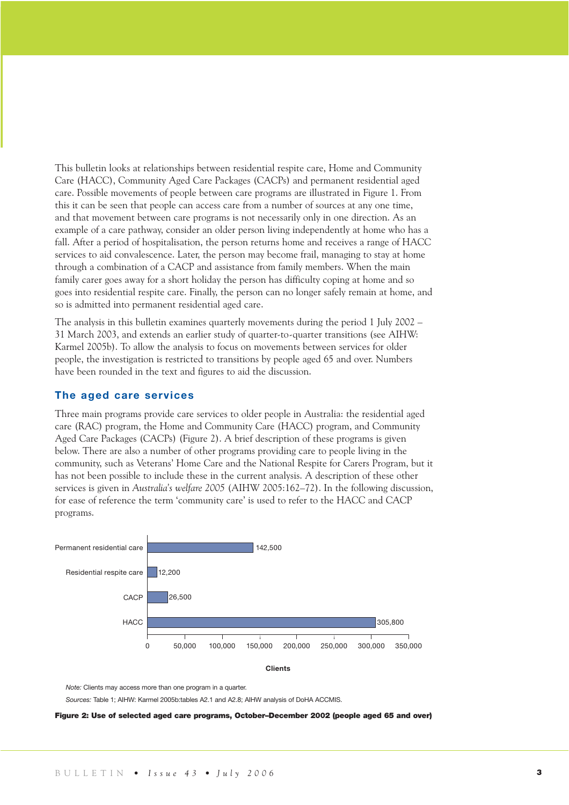This bulletin looks at relationships between residential respite care, Home and Community Care (HACC), Community Aged Care Packages (CACPs) and permanent residential aged care. Possible movements of people between care programs are illustrated in Figure 1. From this it can be seen that people can access care from a number of sources at any one time, and that movement between care programs is not necessarily only in one direction. As an example of a care pathway, consider an older person living independently at home who has a fall. After a period of hospitalisation, the person returns home and receives a range of HACC services to aid convalescence. Later, the person may become frail, managing to stay at home through a combination of a CACP and assistance from family members. When the main family carer goes away for a short holiday the person has difficulty coping at home and so goes into residential respite care. Finally, the person can no longer safely remain at home, and so is admitted into permanent residential aged care.

The analysis in this bulletin examines quarterly movements during the period 1 July 2002 – 31 March 2003, and extends an earlier study of quarter-to-quarter transitions (see AIHW: Karmel 2005b). To allow the analysis to focus on movements between services for older people, the investigation is restricted to transitions by people aged 65 and over. Numbers have been rounded in the text and figures to aid the discussion.

### **The aged care services**

Three main programs provide care services to older people in Australia: the residential aged care (RAC) program, the Home and Community Care (HACC) program, and Community Aged Care Packages (CACPs) (Figure 2). A brief description of these programs is given below. There are also a number of other programs providing care to people living in the community, such as Veterans' Home Care and the National Respite for Carers Program, but it has not been possible to include these in the current analysis. A description of these other services is given in *Australia's welfare 2005* (AIHW 2005:162–72). In the following discussion, for ease of reference the term 'community care' is used to refer to the HACC and CACP programs.





 *Note:* Clients may access more than one program in a quarter.

*Sources:* Table 1; AIHW: Karmel 2005b:tables A2.1 and A2.8; AIHW analysis of DoHA ACCMIS.

Figure 2: Use of selected aged care programs, October–December 2002 (people aged 65 and over)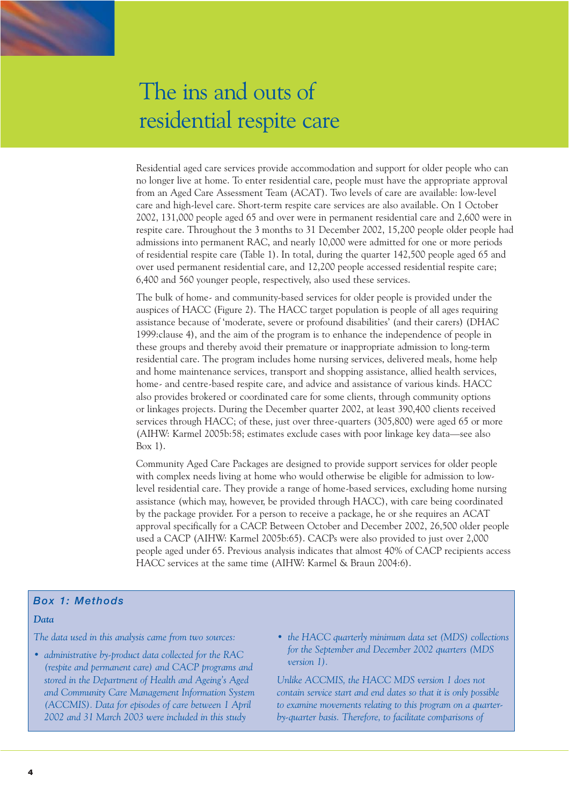

Residential aged care services provide accommodation and support for older people who can no longer live at home. To enter residential care, people must have the appropriate approval from an Aged Care Assessment Team (ACAT). Two levels of care are available: low-level care and high-level care. Short-term respite care services are also available. On 1 October 2002, 131,000 people aged 65 and over were in permanent residential care and 2,600 were in respite care. Throughout the 3 months to 31 December 2002, 15,200 people older people had admissions into permanent RAC, and nearly 10,000 were admitted for one or more periods of residential respite care (Table 1). In total, during the quarter 142,500 people aged 65 and over used permanent residential care, and 12,200 people accessed residential respite care; 6,400 and 560 younger people, respectively, also used these services.

The bulk of home- and community-based services for older people is provided under the auspices of HACC (Figure 2). The HACC target population is people of all ages requiring assistance because of 'moderate, severe or profound disabilities' (and their carers) (DHAC 1999:clause 4), and the aim of the program is to enhance the independence of people in these groups and thereby avoid their premature or inappropriate admission to long-term residential care. The program includes home nursing services, delivered meals, home help and home maintenance services, transport and shopping assistance, allied health services, home- and centre-based respite care, and advice and assistance of various kinds. HACC also provides brokered or coordinated care for some clients, through community options or linkages projects. During the December quarter 2002, at least 390,400 clients received services through HACC; of these, just over three-quarters (305,800) were aged 65 or more (AIHW: Karmel 2005b:58; estimates exclude cases with poor linkage key data—see also Box 1).

Community Aged Care Packages are designed to provide support services for older people with complex needs living at home who would otherwise be eligible for admission to lowlevel residential care. They provide a range of home-based services, excluding home nursing assistance (which may, however, be provided through HACC), with care being coordinated by the package provider. For a person to receive a package, he or she requires an ACAT approval specifically for a CACP. Between October and December 2002, 26,500 older people used a CACP (AIHW: Karmel 2005b:65). CACPs were also provided to just over 2,000 people aged under 65. Previous analysis indicates that almost 40% of CACP recipients access HACC services at the same time (AIHW: Karmel & Braun 2004:6).

### *Box 1: Methods*

*The data used in this analysis came from two sources:*

- *administrative by-product data collected for the RAC (respite and permanent care) and CACP programs and stored in the Department of Health and Ageing's Aged and Community Care Management Information System (ACCMIS). Data for episodes of care between 1 April 2002 and 31 March 2003 were included in this study*
- *the HACC quarterly minimum data set (MDS) collections for the September and December 2002 quarters (MDS version 1).*

*Unlike ACCMIS, the HACC MDS version 1 does not contain service start and end dates so that it is only possible to examine movements relating to this program on a quarterby-quarter basis. Therefore, to facilitate comparisons of*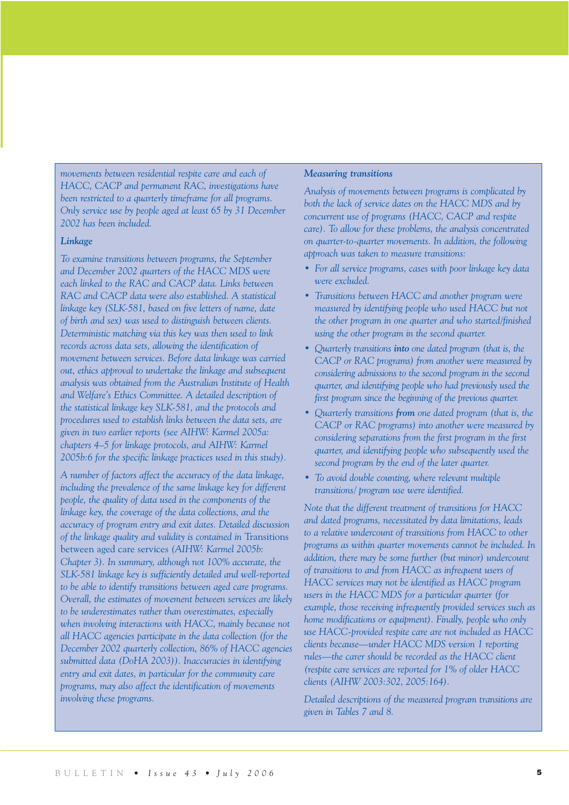*movements between residential respite care and each of HACC, CACP and permanent RAC, investigations have been restricted to a quarterly timeframe for all programs. Only service use by people aged at least 65 by 31 December 2002 has been included.*

### *Linkage*

*To examine transitions between programs, the September and December 2002 quarters of the HACC MDS were each linked to the RAC and CACP data. Links between RAC and CACP data were also established. A statistical linkage key (SLK-581, based on five letters of name, date of birth and sex) was used to distinguish between clients. Deterministic matching via this key was then used to link records across data sets, allowing the identification of movement between services. Before data linkage was carried out, ethics approval to undertake the linkage and subsequent analysis was obtained from the Australian Institute of Health and Welfare's Ethics Committee. A detailed description of the statistical linkage key SLK-581, and the protocols and procedures used to establish links between the data sets, are given in two earlier reports (see AIHW: Karmel 2005a: chapters 4–5 for linkage protocols, and AIHW: Karmel 2005b:6 for the specific linkage practices used in this study).*

*A number of factors affect the accuracy of the data linkage, including the prevalence of the same linkage key for different people, the quality of data used in the components of the linkage key, the coverage of the data collections, and the accuracy of program entry and exit dates. Detailed discussion of the linkage quality and validity is contained in* Transitions between aged care services *(AIHW: Karmel 2005b: Chapter 3). In summary, although not 100% accurate, the SLK-581 linkage key is sufficiently detailed and well-reported to be able to identify transitions between aged care programs. Overall, the estimates of movement between services are likely to be underestimates rather than overestimates, especially when involving interactions with HACC, mainly because not all HACC agencies participate in the data collection (for the December 2002 quarterly collection, 86% of HACC agencies submitted data (DoHA 2003)). Inaccuracies in identifying entry and exit dates, in particular for the community care programs, may also affect the identification of movements involving these programs.*

### *Measuring transitions*

*Analysis of movements between programs is complicated by both the lack of service dates on the HACC MDS and by concurrent use of programs (HACC, CACP and respite care). To allow for these problems, the analysis concentrated on quarter-to-quarter movements. In addition, the following approach was taken to measure transitions:*

- *For all service programs, cases with poor linkage key data were excluded.*
- *Transitions between HACC and another program were measured by identifying people who used HACC but not the other program in one quarter and who started/finished using the other program in the second quarter.*
- *Quarterly transitions into one dated program (that is, the CACP or RAC programs) from another were measured by considering admissions to the second program in the second quarter, and identifying people who had previously used the first program since the beginning of the previous quarter.*
- *Quarterly transitions from one dated program (that is, the CACP or RAC programs) into another were measured by considering separations from the first program in the first quarter, and identifying people who subsequently used the second program by the end of the later quarter.*
- *To avoid double counting, where relevant multiple transitions/ program use were identified.*

*Note that the different treatment of transitions for HACC and dated programs, necessitated by data limitations, leads to a relative undercount of transitions from HACC to other programs as within quarter movements cannot be included. In addition, there may be some further (but minor) undercount of transitions to and from HACC as infrequent users of HACC services may not be identified as HACC program users in the HACC MDS for a particular quarter (for example, those receiving infrequently provided services such as home modifications or equipment*). Finally, people who only *use HACC-provided respite care are not included as HACC clients because—under HACC MDS version 1 reporting rules—the carer should be recorded as the HACC client (respite care services are reported for 1% of older HACC clients (AIHW 2003:302, 2005:164).*

*Detailed descriptions of the measured program transitions are given in Tables 7 and 8.*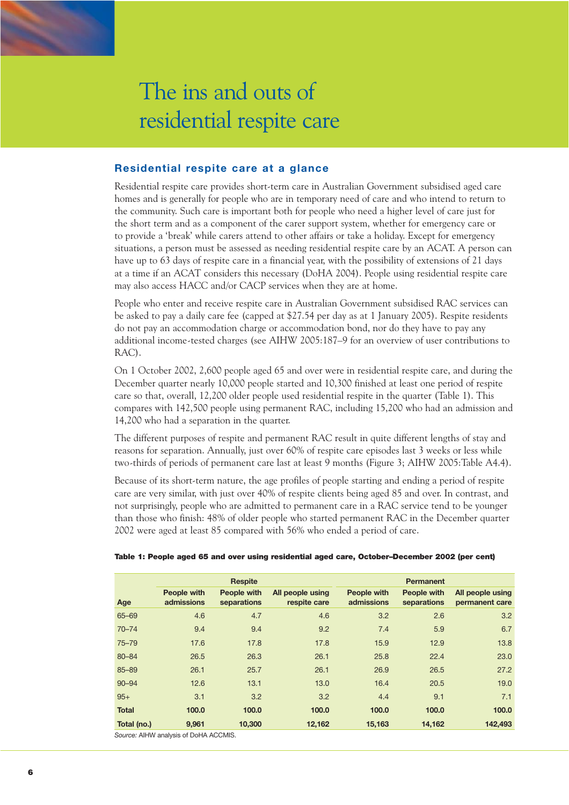

### **Residential respite care at a glance**

Residential respite care provides short-term care in Australian Government subsidised aged care homes and is generally for people who are in temporary need of care and who intend to return to the community. Such care is important both for people who need a higher level of care just for the short term and as a component of the carer support system, whether for emergency care or to provide a 'break' while carers attend to other affairs or take a holiday. Except for emergency situations, a person must be assessed as needing residential respite care by an ACAT. A person can have up to 63 days of respite care in a financial year, with the possibility of extensions of 21 days at a time if an ACAT considers this necessary (DoHA 2004). People using residential respite care may also access HACC and/or CACP services when they are at home.

People who enter and receive respite care in Australian Government subsidised RAC services can be asked to pay a daily care fee (capped at \$27.54 per day as at 1 January 2005). Respite residents do not pay an accommodation charge or accommodation bond, nor do they have to pay any additional income-tested charges (see AIHW 2005:187–9 for an overview of user contributions to RAC).

On 1 October 2002, 2,600 people aged 65 and over were in residential respite care, and during the December quarter nearly 10,000 people started and 10,300 finished at least one period of respite care so that, overall, 12,200 older people used residential respite in the quarter (Table 1). This compares with 142,500 people using permanent RAC, including 15,200 who had an admission and 14,200 who had a separation in the quarter.

The different purposes of respite and permanent RAC result in quite different lengths of stay and reasons for separation. Annually, just over 60% of respite care episodes last 3 weeks or less while two-thirds of periods of permanent care last at least 9 months (Figure 3; AIHW 2005:Table A4.4).

Because of its short-term nature, the age profiles of people starting and ending a period of respite care are very similar, with just over 40% of respite clients being aged 85 and over. In contrast, and not surprisingly, people who are admitted to permanent care in a RAC service tend to be younger than those who finish: 48% of older people who started permanent RAC in the December quarter 2002 were aged at least 85 compared with 56% who ended a period of care.

|              |                                       | <b>Respite</b>             |                                  |                           | <b>Permanent</b>           |                                    |
|--------------|---------------------------------------|----------------------------|----------------------------------|---------------------------|----------------------------|------------------------------------|
| Age          | People with<br>admissions             | People with<br>separations | All people using<br>respite care | People with<br>admissions | People with<br>separations | All people using<br>permanent care |
| 65-69        | 4.6                                   | 4.7                        | 4.6                              | 3.2                       | 2.6                        | 3.2                                |
| $70 - 74$    | 9.4                                   | 9.4                        | 9.2                              | 7.4                       | 5.9                        | 6.7                                |
| $75 - 79$    | 17.6                                  | 17.8                       | 17.8                             | 15.9                      | 12.9                       | 13.8                               |
| 80-84        | 26.5                                  | 26.3                       | 26.1                             | 25.8                      | 22.4                       | 23.0                               |
| 85-89        | 26.1                                  | 25.7                       | 26.1                             | 26.9                      | 26.5                       | 27.2                               |
| $90 - 94$    | 12.6                                  | 13.1                       | 13.0                             | 16.4                      | 20.5                       | 19.0                               |
| $95+$        | 3.1                                   | 3.2                        | 3.2                              | 4.4                       | 9.1                        | 7.1                                |
| <b>Total</b> | 100.0                                 | 100.0                      | 100.0                            | 100.0                     | 100.0                      | 100.0                              |
| Total (no.)  | 9,961                                 | 10,300                     | 12,162                           | 15,163                    | 14,162                     | 142,493                            |
|              | Source: AIHW analysis of DoHA ACCMIS. |                            |                                  |                           |                            |                                    |

#### Table 1: People aged 65 and over using residential aged care, October–December 2002 (per cent)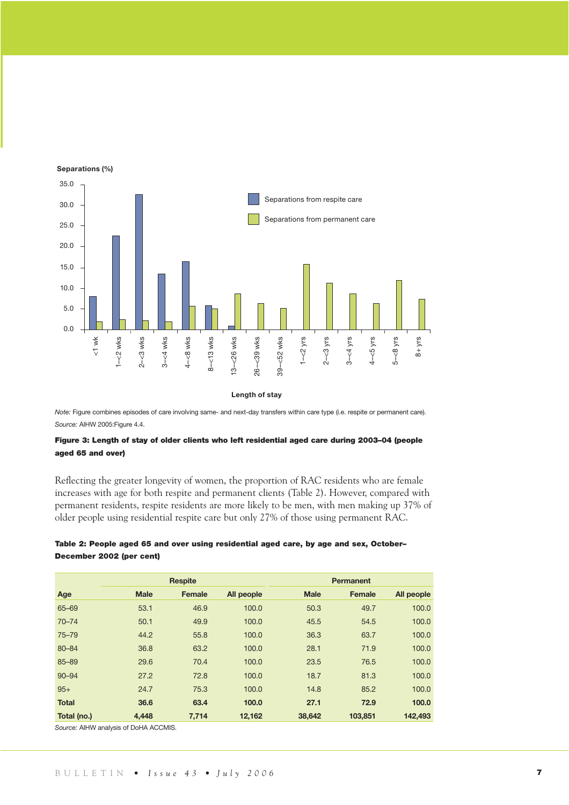

*Note:* Figure combines episodes of care involving same- and next-day transfers within care type (i.e. respite or permanent care). *Source:* AIHW 2005:Figure 4.4.

### Figure 3: Length of stay of older clients who left residential aged care during 2003–04 (people aged 65 and over)

Reflecting the greater longevity of women, the proportion of RAC residents who are female increases with age for both respite and permanent clients (Table 2). However, compared with permanent residents, respite residents are more likely to be men, with men making up 37% of older people using residential respite care but only 27% of those using permanent RAC.

### Table 2: People aged 65 and over using residential aged care, by age and sex, October– December 2002 (per cent)

|              | <b>Respite</b> |        |            |             | <b>Permanent</b> |            |
|--------------|----------------|--------|------------|-------------|------------------|------------|
| Age          | <b>Male</b>    | Female | All people | <b>Male</b> | Female           | All people |
| 65-69        | 53.1           | 46.9   | 100.0      | 50.3        | 49.7             | 100.0      |
| $70 - 74$    | 50.1           | 49.9   | 100.0      | 45.5        | 54.5             | 100.0      |
| $75 - 79$    | 44.2           | 55.8   | 100.0      | 36.3        | 63.7             | 100.0      |
| 80-84        | 36.8           | 63.2   | 100.0      | 28.1        | 71.9             | 100.0      |
| 85-89        | 29.6           | 70.4   | 100.0      | 23.5        | 76.5             | 100.0      |
| $90 - 94$    | 27.2           | 72.8   | 100.0      | 18.7        | 81.3             | 100.0      |
| $95+$        | 24.7           | 75.3   | 100.0      | 14.8        | 85.2             | 100.0      |
| <b>Total</b> | 36.6           | 63.4   | 100.0      | 27.1        | 72.9             | 100.0      |
| Total (no.)  | 4,448          | 7,714  | 12,162     | 38,642      | 103,851          | 142,493    |

*Source:* AIHW analysis of DoHA ACCMIS.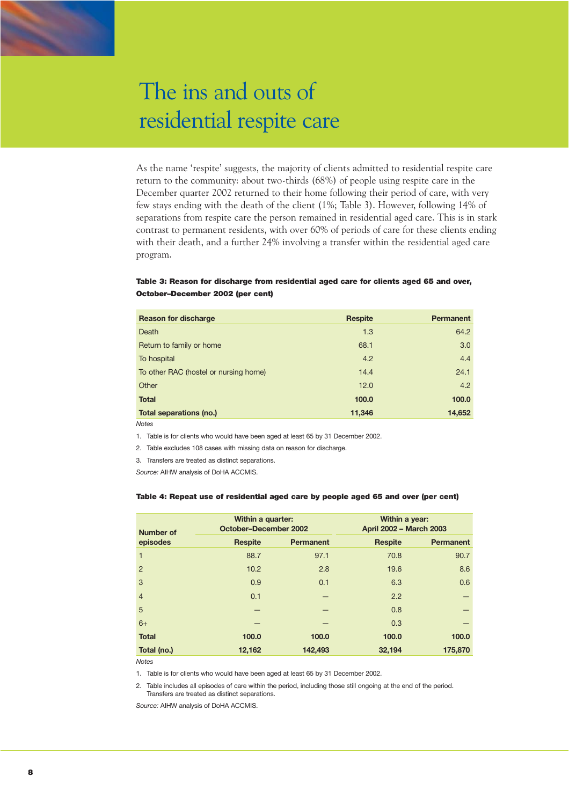As the name 'respite' suggests, the majority of clients admitted to residential respite care return to the community: about two-thirds (68%) of people using respite care in the December quarter 2002 returned to their home following their period of care, with very few stays ending with the death of the client (1%; Table 3). However, following 14% of separations from respite care the person remained in residential aged care. This is in stark contrast to permanent residents, with over 60% of periods of care for these clients ending with their death, and a further 24% involving a transfer within the residential aged care program.

### Table 3: Reason for discharge from residential aged care for clients aged 65 and over, October–December 2002 (per cent)

| <b>Reason for discharge</b>           | Respite | <b>Permanent</b> |
|---------------------------------------|---------|------------------|
| Death                                 | 1.3     | 64.2             |
| Return to family or home              | 68.1    | 3.0              |
| To hospital                           | 4.2     | 4.4              |
| To other RAC (hostel or nursing home) | 14.4    | 24.1             |
| Other                                 | 12.0    | 4.2              |
| <b>Total</b>                          | 100.0   | 100.0            |
| Total separations (no.)               | 11,346  | 14,652           |
| <b>Notes</b>                          |         |                  |

1. Table is for clients who would have been aged at least 65 by 31 December 2002.

2. Table excludes 108 cases with missing data on reason for discharge.

3. Transfers are treated as distinct separations.

*Source:* AIHW analysis of DoHA ACCMIS.

### Table 4: Repeat use of residential aged care by people aged 65 and over (per cent)

| <b>Number of</b> | Within a quarter:<br><b>October-December 2002</b> |                  | Within a year:<br>April 2002 - March 2003 |                  |
|------------------|---------------------------------------------------|------------------|-------------------------------------------|------------------|
| episodes         | <b>Respite</b>                                    | <b>Permanent</b> | <b>Respite</b>                            | <b>Permanent</b> |
| 1                | 88.7                                              | 97.1             | 70.8                                      | 90.7             |
| $\overline{2}$   | 10.2                                              | 2.8              | 19.6                                      | 8.6              |
| 3                | 0.9                                               | 0.1              | 6.3                                       | 0.6              |
| $\overline{4}$   | 0.1                                               |                  | 2.2                                       |                  |
| 5                |                                                   |                  | 0.8                                       |                  |
| $6+$             |                                                   |                  | 0.3                                       |                  |
| <b>Total</b>     | 100.0                                             | 100.0            | 100.0                                     | 100.0            |
| Total (no.)      | 12,162                                            | 142,493          | 32,194                                    | 175,870          |

*Notes*

1. Table is for clients who would have been aged at least 65 by 31 December 2002.

2. Table includes all episodes of care within the period, including those still ongoing at the end of the period. Transfers are treated as distinct separations.

*Source:* AIHW analysis of DoHA ACCMIS.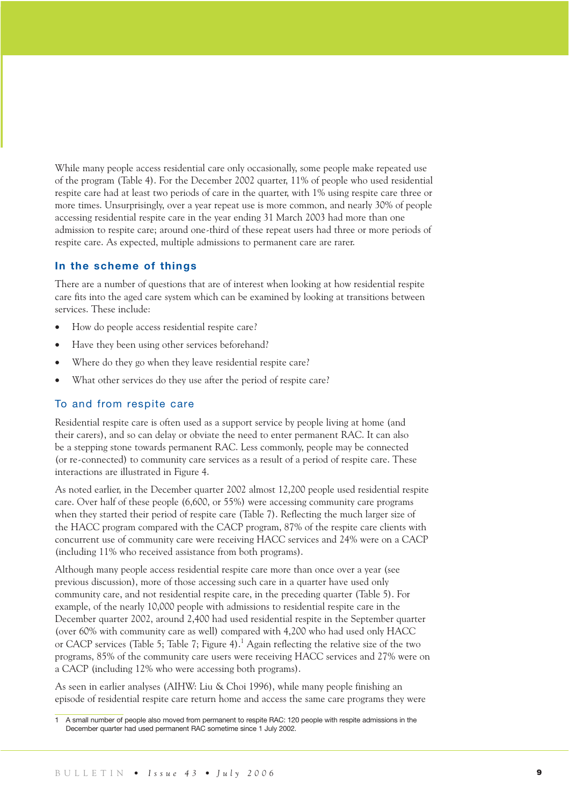While many people access residential care only occasionally, some people make repeated use of the program (Table 4). For the December 2002 quarter, 11% of people who used residential respite care had at least two periods of care in the quarter, with 1% using respite care three or more times. Unsurprisingly, over a year repeat use is more common, and nearly 30% of people accessing residential respite care in the year ending 31 March 2003 had more than one admission to respite care; around one-third of these repeat users had three or more periods of respite care. As expected, multiple admissions to permanent care are rarer.

### **In the scheme of things**

There are a number of questions that are of interest when looking at how residential respite care fits into the aged care system which can be examined by looking at transitions between services. These include:

- How do people access residential respite care?
- Have they been using other services beforehand?
- Where do they go when they leave residential respite care?
- What other services do they use after the period of respite care?

### To and from respite care

Residential respite care is often used as a support service by people living at home (and their carers), and so can delay or obviate the need to enter permanent RAC. It can also be a stepping stone towards permanent RAC. Less commonly, people may be connected (or re-connected) to community care services as a result of a period of respite care. These interactions are illustrated in Figure 4.

As noted earlier, in the December quarter 2002 almost 12,200 people used residential respite care. Over half of these people (6,600, or 55%) were accessing community care programs when they started their period of respite care (Table 7). Reflecting the much larger size of the HACC program compared with the CACP program, 87% of the respite care clients with concurrent use of community care were receiving HACC services and 24% were on a CACP (including 11% who received assistance from both programs).

Although many people access residential respite care more than once over a year (see previous discussion), more of those accessing such care in a quarter have used only community care, and not residential respite care, in the preceding quarter (Table 5). For example, of the nearly 10,000 people with admissions to residential respite care in the December quarter 2002, around 2,400 had used residential respite in the September quarter (over 60% with community care as well) compared with 4,200 who had used only HACC or CACP services (Table 5; Table 7; Figure 4).<sup>1</sup> Again reflecting the relative size of the two programs, 85% of the community care users were receiving HACC services and 27% were on a CACP (including 12% who were accessing both programs).

As seen in earlier analyses (AIHW: Liu & Choi 1996), while many people finishing an episode of residential respite care return home and access the same care programs they were

<sup>1</sup> A small number of people also moved from permanent to respite RAC: 120 people with respite admissions in the December quarter had used permanent RAC sometime since 1 July 2002.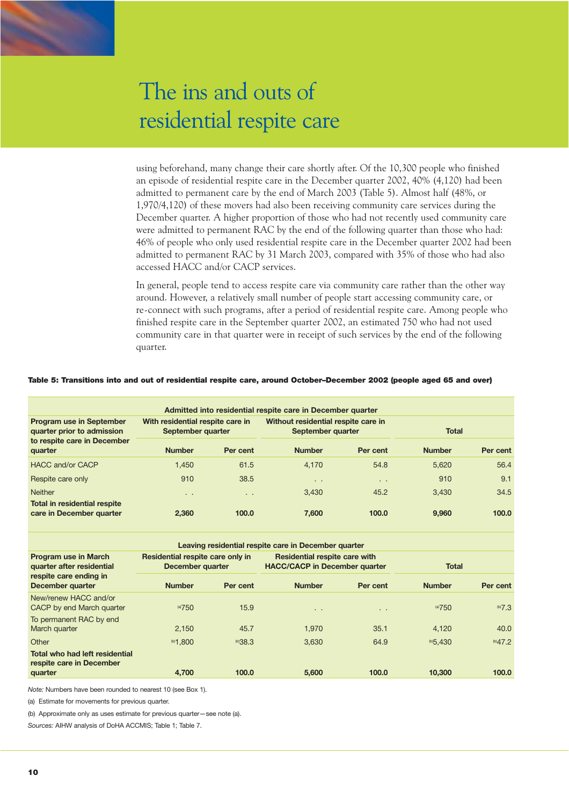using beforehand, many change their care shortly after. Of the 10,300 people who finished an episode of residential respite care in the December quarter 2002, 40% (4,120) had been admitted to permanent care by the end of March 2003 (Table 5). Almost half (48%, or 1,970/4,120) of these movers had also been receiving community care services during the December quarter. A higher proportion of those who had not recently used community care were admitted to permanent RAC by the end of the following quarter than those who had: 46% of people who only used residential respite care in the December quarter 2002 had been admitted to permanent RAC by 31 March 2003, compared with 35% of those who had also accessed HACC and/or CACP services.

In general, people tend to access respite care via community care rather than the other way around. However, a relatively small number of people start accessing community care, or re-connect with such programs, after a period of residential respite care. Among people who finished respite care in the September quarter 2002, an estimated 750 who had not used community care in that quarter were in receipt of such services by the end of the following quarter.

#### Table 5: Transitions into and out of residential respite care, around October–December 2002 (people aged 65 and over)

| Admitted into residential respite care in December quarter                            |                                                       |          |                                                          |               |               |          |  |
|---------------------------------------------------------------------------------------|-------------------------------------------------------|----------|----------------------------------------------------------|---------------|---------------|----------|--|
| Program use in September<br>quarter prior to admission<br>to respite care in December | With residential respite care in<br>September quarter |          | Without residential respite care in<br>September quarter |               | <b>Total</b>  |          |  |
| quarter                                                                               | <b>Number</b>                                         | Per cent | <b>Number</b>                                            | Per cent      | <b>Number</b> | Per cent |  |
| <b>HACC and/or CACP</b>                                                               | 1.450                                                 | 61.5     | 4.170                                                    | 54.8          | 5.620         | 56.4     |  |
| Respite care only                                                                     | 910                                                   | 38.5     | $\sim$ $\sim$                                            | $\sim$ $\sim$ | 910           | 9.1      |  |
| <b>Neither</b>                                                                        | $\sim$                                                | $\sim$   | 3.430                                                    | 45.2          | 3.430         | 34.5     |  |
| Total in residential respite<br>care in December quarter                              | 2.360                                                 | 100.0    | 7.600                                                    | 100.0         | 9.960         | 100.0    |  |

| Leaving residential respite care in December quarter       |                                                      |                                                                              |               |               |                |              |  |
|------------------------------------------------------------|------------------------------------------------------|------------------------------------------------------------------------------|---------------|---------------|----------------|--------------|--|
| <b>Program use in March</b><br>quarter after residential   | Residential respite care only in<br>December quarter | <b>Residential respite care with</b><br><b>HACC/CACP in December quarter</b> |               | <b>Total</b>  |                |              |  |
| respite care ending in<br>December quarter                 | <b>Number</b>                                        | Per cent                                                                     | <b>Number</b> | Per cent      | <b>Number</b>  | Per cent     |  |
| New/renew HACC and/or<br>CACP by end March quarter         | (a)750                                               | 15.9                                                                         | $\sim$ $\sim$ | $\sim$ $\sim$ | (a)750         | $^{(b)}7.3$  |  |
| To permanent RAC by end<br>March quarter                   | 2,150                                                | 45.7                                                                         | 1.970         | 35.1          | 4.120          | 40.0         |  |
| Other                                                      | $^{\circ}1.800$                                      | $^{(b)}38.3$                                                                 | 3.630         | 64.9          | $^{(b)}$ 5.430 | $^{(b)}47.2$ |  |
| Total who had left residential<br>respite care in December |                                                      |                                                                              |               |               |                |              |  |
| quarter                                                    | 4.700                                                | 100.0                                                                        | 5,600         | 100.0         | 10,300         | 100.0        |  |

*Note:* Numbers have been rounded to nearest 10 (see Box 1).

(a) Estimate for movements for previous quarter.

(b) Approximate only as uses estimate for previous quarter—see note (a).

*Sources:* AIHW analysis of DoHA ACCMIS; Table 1; Table 7.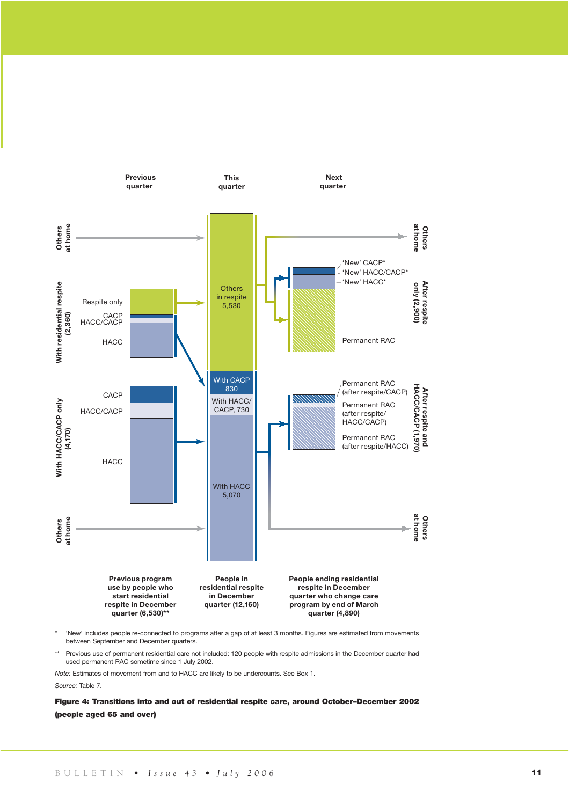

\* 'New' includes people re-connected to programs after a gap of at least 3 months. Figures are estimated from movements between September and December quarters.

Previous use of permanent residential care not included: 120 people with respite admissions in the December quarter had used permanent RAC sometime since 1 July 2002.

*Note:* Estimates of movement from and to HACC are likely to be undercounts. See Box 1.

*Source:* Table 7.

Figure 4: Transitions into and out of residential respite care, around October–December 2002 (people aged 65 and over)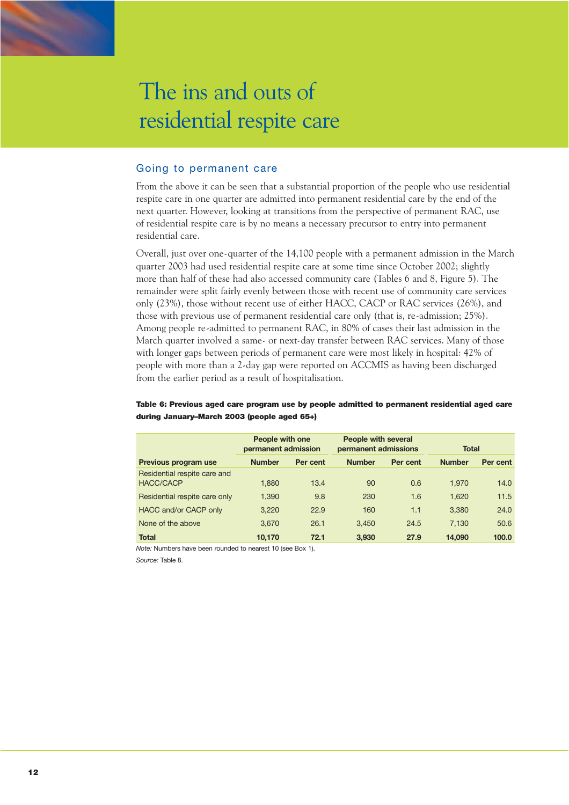

### Going to permanent care

From the above it can be seen that a substantial proportion of the people who use residential respite care in one quarter are admitted into permanent residential care by the end of the next quarter. However, looking at transitions from the perspective of permanent RAC, use of residential respite care is by no means a necessary precursor to entry into permanent residential care.

Overall, just over one-quarter of the 14,100 people with a permanent admission in the March quarter 2003 had used residential respite care at some time since October 2002; slightly more than half of these had also accessed community care (Tables 6 and 8, Figure 5). The remainder were split fairly evenly between those with recent use of community care services only (23%), those without recent use of either HACC, CACP or RAC services (26%), and those with previous use of permanent residential care only (that is, re-admission; 25%). Among people re-admitted to permanent RAC, in 80% of cases their last admission in the March quarter involved a same- or next-day transfer between RAC services. Many of those with longer gaps between periods of permanent care were most likely in hospital: 42% of people with more than a 2-day gap were reported on ACCMIS as having been discharged from the earlier period as a result of hospitalisation.

Table 6: Previous aged care program use by people admitted to permanent residential aged care during January–March 2003 (people aged 65+)

|                                                  | People with one<br>permanent admission |          | People with several<br>permanent admissions |          | <b>Total</b>  |          |  |
|--------------------------------------------------|----------------------------------------|----------|---------------------------------------------|----------|---------------|----------|--|
| Previous program use                             | <b>Number</b>                          | Per cent | <b>Number</b>                               | Per cent | <b>Number</b> | Per cent |  |
| Residential respite care and<br><b>HACC/CACP</b> | 1.880                                  | 13.4     | 90                                          | 0.6      | 1.970         | 14.0     |  |
| Residential respite care only                    | 1,390                                  | 9.8      | 230                                         | 1.6      | 1.620         | 11.5     |  |
| HACC and/or CACP only                            | 3,220                                  | 22.9     | 160                                         | 1.1      | 3.380         | 24.0     |  |
| None of the above                                | 3.670                                  | 26.1     | 3.450                                       | 24.5     | 7.130         | 50.6     |  |
| <b>Total</b>                                     | 10.170                                 | 72.1     | 3.930                                       | 27.9     | 14.090        | 100.0    |  |

*Note:* Numbers have been rounded to nearest 10 (see Box 1).

*Source:* Table 8.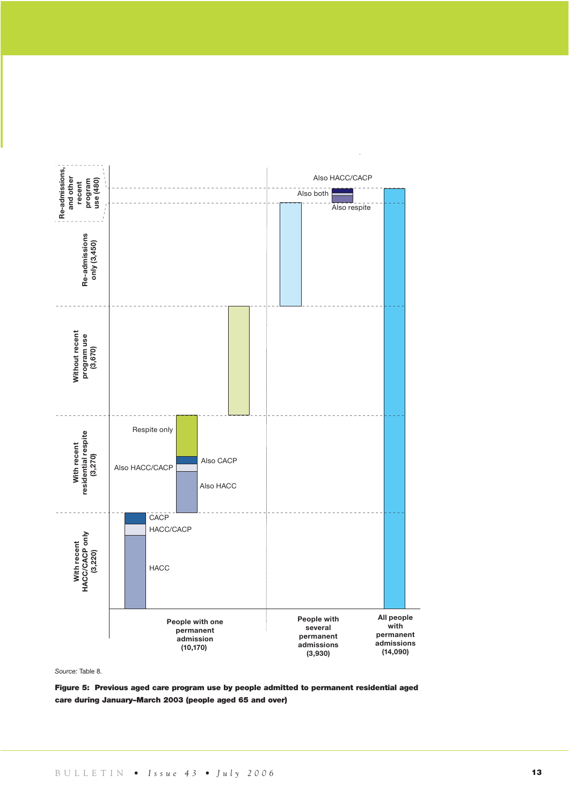

*Source:* Table 8.

Figure 5: Previous aged care program use by people admitted to permanent residential aged care during January–March 2003 (people aged 65 and over)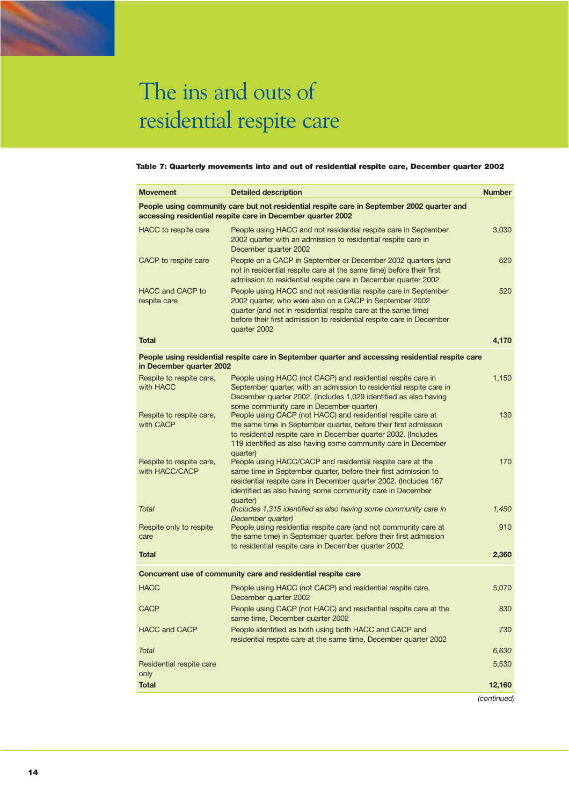### Table 7: Quarterly movements into and out of residential respite care, December quarter 2002

| <b>Movement</b>                            | <b>Detailed description</b>                                                                                                                                                                                                                                                                                      | <b>Number</b> |
|--------------------------------------------|------------------------------------------------------------------------------------------------------------------------------------------------------------------------------------------------------------------------------------------------------------------------------------------------------------------|---------------|
|                                            | People using community care but not residential respite care in September 2002 quarter and<br>accessing residential respite care in December quarter 2002                                                                                                                                                        |               |
| HACC to respite care                       | People using HACC and not residential respite care in September<br>2002 quarter with an admission to residential respite care in<br>December quarter 2002                                                                                                                                                        | 3,030         |
| CACP to respite care                       | People on a CACP in September or December 2002 quarters (and<br>not in residential respite care at the same time) before their first<br>admission to residential respite care in December quarter 2002                                                                                                           | 620           |
| <b>HACC and CACP to</b><br>respite care    | People using HACC and not residential respite care in September<br>2002 quarter, who were also on a CACP in September 2002<br>quarter (and not in residential respite care at the same time)<br>before their first admission to residential respite care in December<br>quarter 2002                             | 520           |
| <b>Total</b>                               |                                                                                                                                                                                                                                                                                                                  | 4,170         |
| in December quarter 2002                   | People using residential respite care in September quarter and accessing residential respite care                                                                                                                                                                                                                |               |
| Respite to respite care,<br>with HACC      | People using HACC (not CACP) and residential respite care in<br>September quarter, with an admission to residential respite care in<br>December quarter 2002. (Includes 1,029 identified as also having                                                                                                          | 1,150         |
| Respite to respite care,<br>with CACP      | some community care in December quarter)<br>People using CACP (not HACC) and residential respite care at<br>the same time in September quarter, before their first admission<br>to residential respite care in December quarter 2002. (Includes<br>119 identified as also having some community care in December | 130           |
| Respite to respite care,<br>with HACC/CACP | quarter)<br>People using HACC/CACP and residential respite care at the<br>same time in September quarter, before their first admission to<br>residential respite care in December quarter 2002. (Includes 167<br>identified as also having some community care in December                                       | 170           |
| <b>Total</b>                               | quarter)<br>(Includes 1,315 identified as also having some community care in<br>December quarter)                                                                                                                                                                                                                | 1,450         |
| Respite only to respite<br>care            | People using residential respite care (and not community care at<br>the same time) in September quarter, before their first admission<br>to residential respite care in December quarter 2002                                                                                                                    | 910           |
| <b>Total</b>                               |                                                                                                                                                                                                                                                                                                                  | 2,360         |
|                                            | Concurrent use of community care and residential respite care                                                                                                                                                                                                                                                    |               |
| <b>HACC</b>                                | People using HACC (not CACP) and residential respite care,<br>December quarter 2002                                                                                                                                                                                                                              | 5,070         |
| CACP                                       | People using CACP (not HACC) and residential respite care at the<br>same time, December quarter 2002                                                                                                                                                                                                             | 830           |
| <b>HACC and CACP</b>                       | People identified as both using both HACC and CACP and<br>residential respite care at the same time, December quarter 2002                                                                                                                                                                                       | 730           |
| <b>Total</b>                               |                                                                                                                                                                                                                                                                                                                  | 6,630         |
| Residential respite care<br>only           |                                                                                                                                                                                                                                                                                                                  | 5,530         |
| <b>Total</b>                               |                                                                                                                                                                                                                                                                                                                  | 12,160        |
|                                            |                                                                                                                                                                                                                                                                                                                  | (continued)   |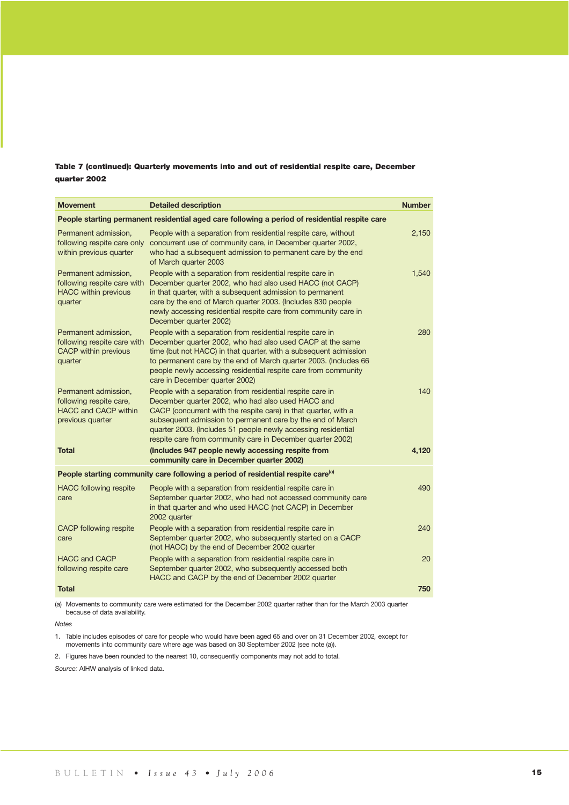### Table 7 (continued): Quarterly movements into and out of residential respite care, December quarter 2002

| <b>Movement</b>                                                                                    | <b>Detailed description</b>                                                                                                                                                                                                                                                                                                                                                    | <b>Number</b> |
|----------------------------------------------------------------------------------------------------|--------------------------------------------------------------------------------------------------------------------------------------------------------------------------------------------------------------------------------------------------------------------------------------------------------------------------------------------------------------------------------|---------------|
|                                                                                                    | People starting permanent residential aged care following a period of residential respite care                                                                                                                                                                                                                                                                                 |               |
| Permanent admission,<br>following respite care only<br>within previous quarter                     | People with a separation from residential respite care, without<br>concurrent use of community care, in December quarter 2002,<br>who had a subsequent admission to permanent care by the end<br>of March quarter 2003                                                                                                                                                         | 2,150         |
| Permanent admission,<br>following respite care with<br><b>HACC</b> within previous<br>quarter      | People with a separation from residential respite care in<br>December quarter 2002, who had also used HACC (not CACP)<br>in that quarter, with a subsequent admission to permanent<br>care by the end of March quarter 2003. (Includes 830 people<br>newly accessing residential respite care from community care in<br>December quarter 2002)                                 | 1,540         |
| Permanent admission,<br>following respite care with<br><b>CACP</b> within previous<br>quarter      | People with a separation from residential respite care in<br>December quarter 2002, who had also used CACP at the same<br>time (but not HACC) in that quarter, with a subsequent admission<br>to permanent care by the end of March quarter 2003. (Includes 66<br>people newly accessing residential respite care from community<br>care in December quarter 2002)             | 280           |
| Permanent admission.<br>following respite care,<br><b>HACC and CACP within</b><br>previous quarter | People with a separation from residential respite care in<br>December quarter 2002, who had also used HACC and<br>CACP (concurrent with the respite care) in that quarter, with a<br>subsequent admission to permanent care by the end of March<br>quarter 2003. (Includes 51 people newly accessing residential<br>respite care from community care in December quarter 2002) | 140           |
| <b>Total</b>                                                                                       | (Includes 947 people newly accessing respite from<br>community care in December quarter 2002)                                                                                                                                                                                                                                                                                  | 4,120         |
|                                                                                                    | People starting community care following a period of residential respite care <sup>(a)</sup>                                                                                                                                                                                                                                                                                   |               |
| <b>HACC</b> following respite<br>care                                                              | People with a separation from residential respite care in<br>September quarter 2002, who had not accessed community care<br>in that quarter and who used HACC (not CACP) in December<br>2002 quarter                                                                                                                                                                           | 490           |
| <b>CACP</b> following respite<br>care                                                              | People with a separation from residential respite care in<br>September quarter 2002, who subsequently started on a CACP<br>(not HACC) by the end of December 2002 quarter                                                                                                                                                                                                      | 240           |
| <b>HACC and CACP</b><br>following respite care                                                     | People with a separation from residential respite care in<br>September quarter 2002, who subsequently accessed both<br>HACC and CACP by the end of December 2002 quarter                                                                                                                                                                                                       | 20            |
| <b>Total</b>                                                                                       |                                                                                                                                                                                                                                                                                                                                                                                | 750           |

(a) Movements to community care were estimated for the December 2002 quarter rather than for the March 2003 quarter because of data availability.

*Notes*

1. Table includes episodes of care for people who would have been aged 65 and over on 31 December 2002*,* except for movements into community care where age was based on 30 September 2002 (see note (a)).

2. Figures have been rounded to the nearest 10, consequently components may not add to total.

*Source:* AIHW analysis of linked data.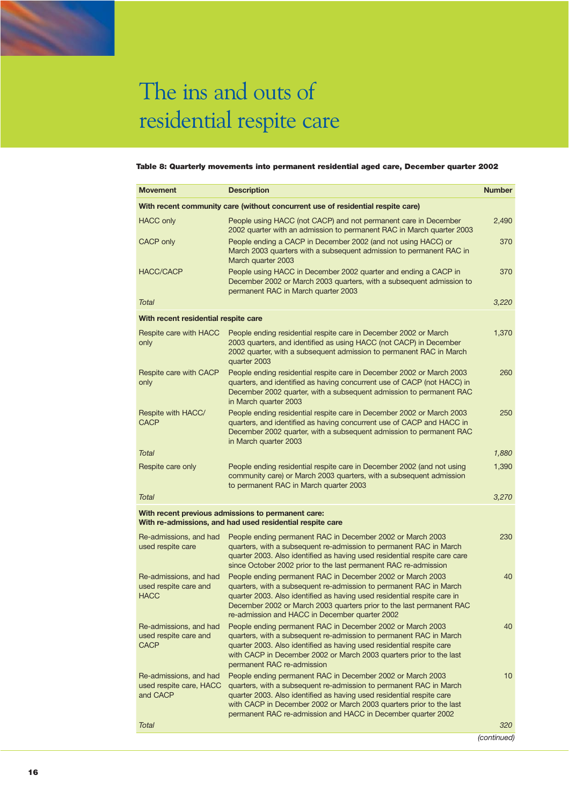#### Table 8: Quarterly movements into permanent residential aged care, December quarter 2002

| <b>Movement</b>                                                | <b>Description</b>                                                                                                                                                                                                                                                                                                                               | <b>Number</b> |
|----------------------------------------------------------------|--------------------------------------------------------------------------------------------------------------------------------------------------------------------------------------------------------------------------------------------------------------------------------------------------------------------------------------------------|---------------|
|                                                                | With recent community care (without concurrent use of residential respite care)                                                                                                                                                                                                                                                                  |               |
| <b>HACC only</b>                                               | People using HACC (not CACP) and not permanent care in December<br>2002 quarter with an admission to permanent RAC in March quarter 2003                                                                                                                                                                                                         | 2,490         |
| <b>CACP only</b>                                               | People ending a CACP in December 2002 (and not using HACC) or<br>March 2003 quarters with a subsequent admission to permanent RAC in<br>March quarter 2003                                                                                                                                                                                       | 370           |
| HACC/CACP                                                      | People using HACC in December 2002 quarter and ending a CACP in<br>December 2002 or March 2003 quarters, with a subsequent admission to<br>permanent RAC in March quarter 2003                                                                                                                                                                   | 370           |
| <b>Total</b>                                                   |                                                                                                                                                                                                                                                                                                                                                  | 3,220         |
| With recent residential respite care                           |                                                                                                                                                                                                                                                                                                                                                  |               |
| Respite care with HACC<br>only                                 | People ending residential respite care in December 2002 or March<br>2003 quarters, and identified as using HACC (not CACP) in December<br>2002 quarter, with a subsequent admission to permanent RAC in March<br>quarter 2003                                                                                                                    | 1,370         |
| Respite care with CACP<br>only                                 | People ending residential respite care in December 2002 or March 2003<br>quarters, and identified as having concurrent use of CACP (not HACC) in<br>December 2002 quarter, with a subsequent admission to permanent RAC<br>in March quarter 2003                                                                                                 | 260           |
| Respite with HACC/<br><b>CACP</b>                              | People ending residential respite care in December 2002 or March 2003<br>quarters, and identified as having concurrent use of CACP and HACC in<br>December 2002 quarter, with a subsequent admission to permanent RAC<br>in March quarter 2003                                                                                                   | 250           |
| Total                                                          |                                                                                                                                                                                                                                                                                                                                                  | 1,880         |
| Respite care only                                              | People ending residential respite care in December 2002 (and not using<br>community care) or March 2003 quarters, with a subsequent admission<br>to permanent RAC in March quarter 2003                                                                                                                                                          | 1,390         |
| <b>Total</b>                                                   |                                                                                                                                                                                                                                                                                                                                                  | 3,270         |
|                                                                | With recent previous admissions to permanent care:<br>With re-admissions, and had used residential respite care                                                                                                                                                                                                                                  |               |
| Re-admissions, and had<br>used respite care                    | People ending permanent RAC in December 2002 or March 2003<br>quarters, with a subsequent re-admission to permanent RAC in March<br>quarter 2003. Also identified as having used residential respite care care<br>since October 2002 prior to the last permanent RAC re-admission                                                                | 230           |
| Re-admissions, and had<br>used respite care and<br><b>HACC</b> | People ending permanent RAC in December 2002 or March 2003<br>quarters, with a subsequent re-admission to permanent RAC in March<br>quarter 2003. Also identified as having used residential respite care in<br>December 2002 or March 2003 quarters prior to the last permanent RAC<br>re-admission and HACC in December quarter 2002           | 40            |
| Re-admissions, and had<br>used respite care and<br>CACP        | People ending permanent RAC in December 2002 or March 2003<br>quarters, with a subsequent re-admission to permanent RAC in March<br>quarter 2003. Also identified as having used residential respite care<br>with CACP in December 2002 or March 2003 quarters prior to the last<br>permanent RAC re-admission                                   | 40            |
| Re-admissions, and had<br>used respite care, HACC<br>and CACP  | People ending permanent RAC in December 2002 or March 2003<br>quarters, with a subsequent re-admission to permanent RAC in March<br>quarter 2003. Also identified as having used residential respite care<br>with CACP in December 2002 or March 2003 quarters prior to the last<br>permanent RAC re-admission and HACC in December quarter 2002 | 10            |
| Total                                                          |                                                                                                                                                                                                                                                                                                                                                  | 320           |
|                                                                |                                                                                                                                                                                                                                                                                                                                                  | (continued)   |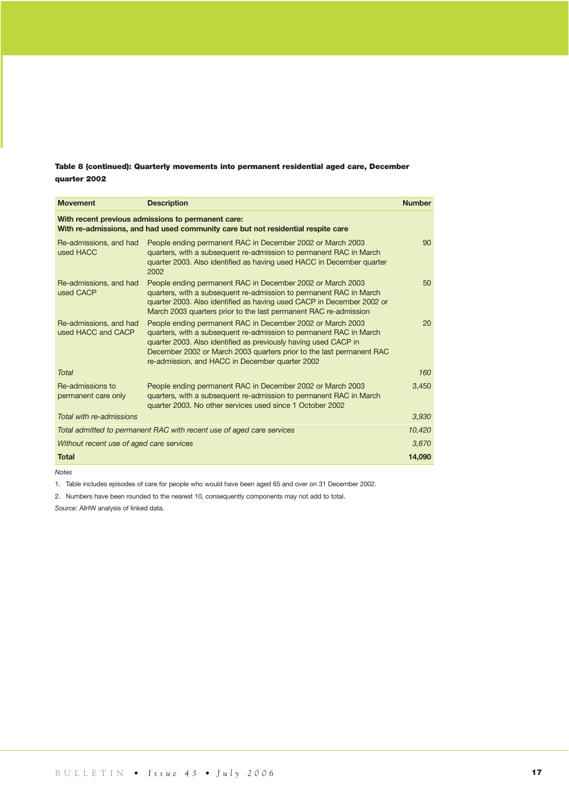### Table 8 (continued): Quarterly movements into permanent residential aged care, December quarter 2002

| <b>Movement</b>                              | <b>Description</b>                                                                                                                                                                                                                                                                                                             | <b>Number</b> |
|----------------------------------------------|--------------------------------------------------------------------------------------------------------------------------------------------------------------------------------------------------------------------------------------------------------------------------------------------------------------------------------|---------------|
|                                              | With recent previous admissions to permanent care:<br>With re-admissions, and had used community care but not residential respite care                                                                                                                                                                                         |               |
| Re-admissions, and had<br>used HACC          | People ending permanent RAC in December 2002 or March 2003<br>quarters, with a subsequent re-admission to permanent RAC in March<br>quarter 2003. Also identified as having used HACC in December quarter<br>2002                                                                                                              | 90            |
| Re-admissions, and had<br>used CACP          | People ending permanent RAC in December 2002 or March 2003<br>quarters, with a subsequent re-admission to permanent RAC in March<br>quarter 2003. Also identified as having used CACP in December 2002 or<br>March 2003 quarters prior to the last permanent RAC re-admission                                                  | 50            |
| Re-admissions, and had<br>used HACC and CACP | People ending permanent RAC in December 2002 or March 2003<br>quarters, with a subsequent re-admission to permanent RAC in March<br>quarter 2003. Also identified as previously having used CACP in<br>December 2002 or March 2003 quarters prior to the last permanent RAC<br>re-admission, and HACC in December quarter 2002 | 20            |
| <b>Total</b>                                 |                                                                                                                                                                                                                                                                                                                                | 160           |
| Re-admissions to<br>permanent care only      | People ending permanent RAC in December 2002 or March 2003<br>quarters, with a subsequent re-admission to permanent RAC in March<br>quarter 2003. No other services used since 1 October 2002                                                                                                                                  | 3,450         |
| Total with re-admissions                     |                                                                                                                                                                                                                                                                                                                                | 3,930         |
|                                              | Total admitted to permanent RAC with recent use of aged care services                                                                                                                                                                                                                                                          | 10.420        |
| Without recent use of aged care services     |                                                                                                                                                                                                                                                                                                                                | 3.670         |
| <b>Total</b>                                 |                                                                                                                                                                                                                                                                                                                                | 14,090        |

*Notes*

1. Table includes episodes of care for people who would have been aged 65 and over on 31 December 2002.

2. Numbers have been rounded to the nearest 10, consequently components may not add to total.

*Source:* AIHW analysis of linked data.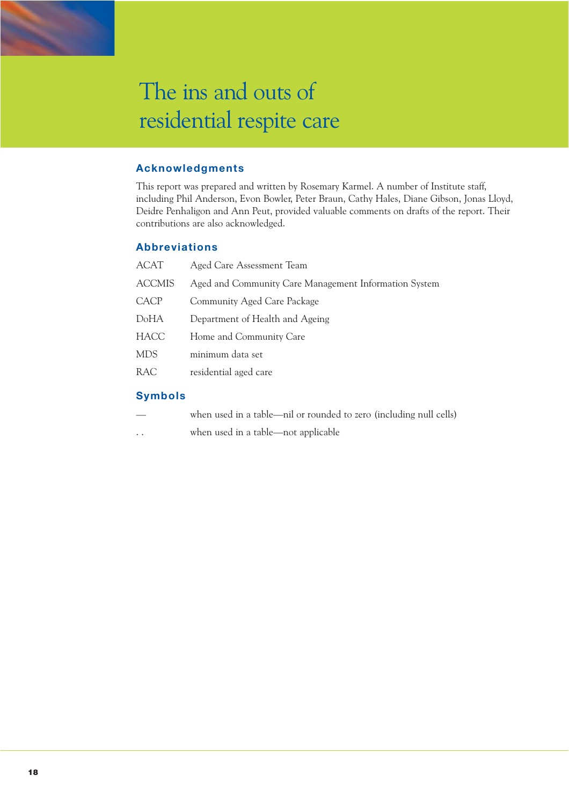### **Acknowledgments**

This report was prepared and written by Rosemary Karmel. A number of Institute staff, including Phil Anderson, Evon Bowler, Peter Braun, Cathy Hales, Diane Gibson, Jonas Lloyd, Deidre Penhaligon and Ann Peut, provided valuable comments on drafts of the report. Their contributions are also acknowledged.

### **Abbreviations**

| <b>ACAT</b>   | Aged Care Assessment Team                             |
|---------------|-------------------------------------------------------|
| <b>ACCMIS</b> | Aged and Community Care Management Information System |
| CACP          | Community Aged Care Package                           |
| DoHA          | Department of Health and Ageing                       |
| <b>HACC</b>   | Home and Community Care                               |
| <b>MDS</b>    | minimum data set                                      |
| <b>RAC</b>    | residential aged care                                 |
|               |                                                       |

### **Symbols**

| when used in a table—nil or rounded to zero (including null cells) |  |
|--------------------------------------------------------------------|--|
|--------------------------------------------------------------------|--|

. . when used in a table—not applicable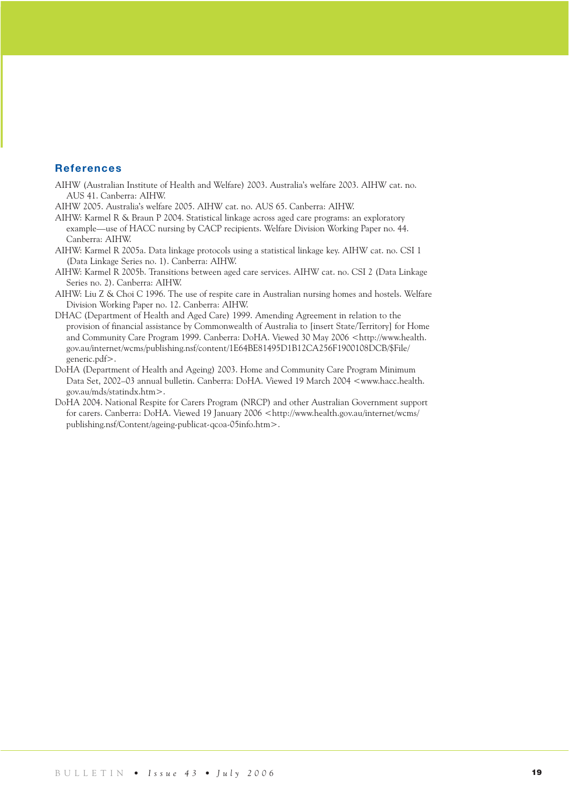### **References**

- AIHW (Australian Institute of Health and Welfare) 2003. Australia's welfare 2003. AIHW cat. no. AUS 41. Canberra: AIHW.
- AIHW 2005. Australia's welfare 2005. AIHW cat. no. AUS 65. Canberra: AIHW.
- AIHW: Karmel R & Braun P 2004. Statistical linkage across aged care programs: an exploratory example—use of HACC nursing by CACP recipients. Welfare Division Working Paper no. 44. Canberra: AIHW.
- AIHW: Karmel R 2005a. Data linkage protocols using a statistical linkage key. AIHW cat. no. CSI 1 (Data Linkage Series no. 1). Canberra: AIHW.
- AIHW: Karmel R 2005b. Transitions between aged care services. AIHW cat. no. CSI 2 (Data Linkage Series no. 2). Canberra: AIHW.
- AIHW: Liu Z & Choi C 1996. The use of respite care in Australian nursing homes and hostels. Welfare Division Working Paper no. 12. Canberra: AIHW.
- DHAC (Department of Health and Aged Care) 1999. Amending Agreement in relation to the provision of financial assistance by Commonwealth of Australia to [insert State/Territory] for Home and Community Care Program 1999. Canberra: DoHA. Viewed 30 May 2006 <http://www.health. gov.au/internet/wcms/publishing.nsf/content/1E64BE81495D1B12CA256F1900108DCB/\$File/ generic.pdf>.
- DoHA (Department of Health and Ageing) 2003. Home and Community Care Program Minimum Data Set, 2002–03 annual bulletin. Canberra: DoHA. Viewed 19 March 2004 <www.hacc.health. gov.au/mds/statindx.htm>.
- DoHA 2004. National Respite for Carers Program (NRCP) and other Australian Government support for carers. Canberra: DoHA. Viewed 19 January 2006 <http://www.health.gov.au/internet/wcms/ publishing.nsf/Content/ageing-publicat-qcoa-05info.htm>.